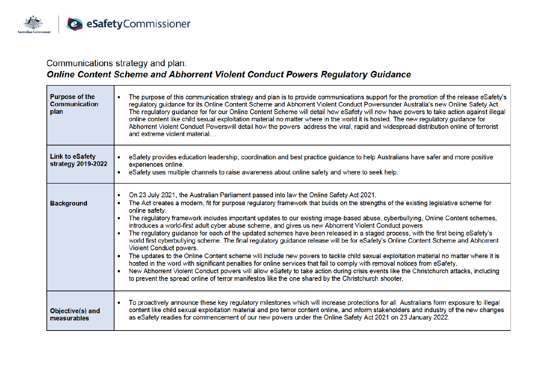

## Communications strategy and plan:

# Online Content Scheme and Abhorrent Violent Conduct Powers Regulatory Guidance

| <b>Purpose of the</b><br><b>Communication</b><br>plan | The purpose of this communication strategy and plan is to provide communications support for the promotion of the release eSafety's<br>regulatory guidance for its Online Content Scheme and Abhorrent Violent Conduct Powersunder Australia's new Online Safety Act.<br>The regulatory guidance for for our Online Content Scheme will detail how eSafety will now have powers to take action against illegal<br>online content like child sexual exploitation material no matter where in the world it is hosted. The new regulatory guidance for<br>Abhorrent Violent Conduct Powerswill detail how the powers address the viral, rapid and widespread distribution online of terrorist<br>and extreme violent material                                                                                                                                                                                                                                                                                                                                                                                                                                                                                                                                                                                                                |
|-------------------------------------------------------|-------------------------------------------------------------------------------------------------------------------------------------------------------------------------------------------------------------------------------------------------------------------------------------------------------------------------------------------------------------------------------------------------------------------------------------------------------------------------------------------------------------------------------------------------------------------------------------------------------------------------------------------------------------------------------------------------------------------------------------------------------------------------------------------------------------------------------------------------------------------------------------------------------------------------------------------------------------------------------------------------------------------------------------------------------------------------------------------------------------------------------------------------------------------------------------------------------------------------------------------------------------------------------------------------------------------------------------------|
| <b>Link to eSafety</b><br>strategy 2019-2022          | eSafety provides education leadership, coordination and best practice guidance to help Australians have safer and more positive<br>experiences online.<br>• eSafety uses multiple channels to raise awareness about online safety and where to seek help.                                                                                                                                                                                                                                                                                                                                                                                                                                                                                                                                                                                                                                                                                                                                                                                                                                                                                                                                                                                                                                                                                 |
| <b>Background</b>                                     | On 23 July 2021, the Australian Parliament passed into law the Online Safety Act 2021.<br>۰<br>The Act creates a modern, fit for purpose regulatory framework that builds on the strengths of the existing legislative scheme for<br>$\bullet$<br>online safety.<br>The regulatory framework includes important updates to our existing image-based abuse, cyberbullying, Online Content schemes,<br>$\bullet$<br>introduces a world-first adult cyber abuse scheme, and gives us new Abhorrent Violent Conduct powers<br>The regulatory guidance for each of the updated schemes have been released in a staged process, with the first being eSafety's<br>world first cyberbullying scheme. The final regulatory guidance release will be for eSafety's Online Content Scheme and Abhorrent<br>Violent Conduct powers.<br>The updates to the Online Content scheme will include new powers to tackle child sexual exploitation material no matter where it is<br>hosted in the word with significant penalties for online services that fail to comply with removal notices from eSafety.<br>New Abhorrent Violent Conduct powers will allow eSafety to take action during crisis events like the Christchurch attacks, including<br>to prevent the spread online of terror manifestos like the one shared by the Christchurch shooter. |
| Objective(s) and<br>measurables                       | To proactively announce these key regulatory milestones which will increase protections for all Australians form exposure to illegal<br>$\bullet$<br>content like child sexual exploitation material and pro terror content online, and inform stakeholders and industry of the new changes<br>as eSafety readies for commencement of our new powers under the Online Safety Act 2021 on 23 January 2022.                                                                                                                                                                                                                                                                                                                                                                                                                                                                                                                                                                                                                                                                                                                                                                                                                                                                                                                                 |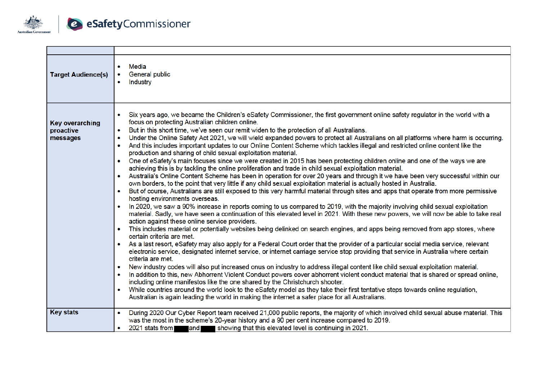

| <b>Target Audience(s)</b>                       | Media<br>General public<br>Industry<br>$\bullet$                                                                                                                                                                                                                                                                                                                                                                                                                                                                                                                                                                                                                                                                                                                                                                                                                                                                                                                                                                                                                                                                                                                                                                                                                                                                                                                                                                                                                                                                                                                                                                                                                                                                                                                                                                                                                                                                                                                                                                                                                                                                                                                                                                                                                                                                                                                                                                                                                                                                                                                                                                                                                                                                                                                                                                                 |
|-------------------------------------------------|----------------------------------------------------------------------------------------------------------------------------------------------------------------------------------------------------------------------------------------------------------------------------------------------------------------------------------------------------------------------------------------------------------------------------------------------------------------------------------------------------------------------------------------------------------------------------------------------------------------------------------------------------------------------------------------------------------------------------------------------------------------------------------------------------------------------------------------------------------------------------------------------------------------------------------------------------------------------------------------------------------------------------------------------------------------------------------------------------------------------------------------------------------------------------------------------------------------------------------------------------------------------------------------------------------------------------------------------------------------------------------------------------------------------------------------------------------------------------------------------------------------------------------------------------------------------------------------------------------------------------------------------------------------------------------------------------------------------------------------------------------------------------------------------------------------------------------------------------------------------------------------------------------------------------------------------------------------------------------------------------------------------------------------------------------------------------------------------------------------------------------------------------------------------------------------------------------------------------------------------------------------------------------------------------------------------------------------------------------------------------------------------------------------------------------------------------------------------------------------------------------------------------------------------------------------------------------------------------------------------------------------------------------------------------------------------------------------------------------------------------------------------------------------------------------------------------------|
| <b>Key overarching</b><br>proactive<br>messages | Six years ago, we became the Children's eSafety Commissioner, the first government online safety regulator in the world with a<br>focus on protecting Australian children online.<br>But in this short time, we've seen our remit widen to the protection of all Australians.<br>$\bullet$<br>Under the Online Safety Act 2021, we will wield expanded powers to protect all Australians on all platforms where harm is occurring.<br>$\bullet$<br>And this includes important updates to our Online Content Scheme which tackles illegal and restricted online content like the<br>$\bullet$<br>production and sharing of child sexual exploitation material.<br>One of eSafety's main focuses since we were created in 2015 has been protecting children online and one of the ways we are<br>$\bullet$<br>achieving this is by tackling the online proliferation and trade in child sexual exploitation material.<br>Australia's Online Content Scheme has been in operation for over 20 years and through it we have been very successful within our<br>۰<br>own borders, to the point that very little if any child sexual exploitation material is actually hosted in Australia.<br>But of course, Australians are still exposed to this very harmful material through sites and apps that operate from more permissive<br>$\bullet$<br>hosting environments overseas.<br>In 2020, we saw a 90% increase in reports coming to us compared to 2019, with the majority involving child sexual exploitation<br>$\bullet$<br>material. Sadly, we have seen a continuation of this elevated level in 2021. With these new powers, we will now be able to take real<br>action against these online service providers.<br>This includes material or potentially websites being delinked on search engines, and apps being removed from app stores, where<br>$\bullet$<br>certain criteria are met.<br>• As a last resort, eSafety may also apply for a Federal Court order that the provider of a particular social media service, relevant<br>electronic service, designated internet service, or internet carriage service stop providing that service in Australia where certain<br>criteria are met.<br>New industry codes will also put increased onus on industry to address illegal content like child sexual exploitation material.<br>$\bullet$<br>In addition to this, new Abhorrent Violent Conduct powers cover abhorrent violent conduct material that is shared or spread online,<br>including online manifestos like the one shared by the Christchurch shooter.<br>While countries around the world look to the eSafety model as they take their first tentative steps towards online regulation,<br>$\bullet$<br>Australian is again leading the world in making the internet a safer place for all Australians. |
| <b>Key stats</b>                                | During 2020 Our Cyber Report team received 21,000 public reports, the majority of which involved child sexual abuse material. This<br>was the most in the scheme's 20-year history and a 90 per cent increase compared to 2019.<br>and showing that this elevated level is continuing in 2021.<br>2021 stats from                                                                                                                                                                                                                                                                                                                                                                                                                                                                                                                                                                                                                                                                                                                                                                                                                                                                                                                                                                                                                                                                                                                                                                                                                                                                                                                                                                                                                                                                                                                                                                                                                                                                                                                                                                                                                                                                                                                                                                                                                                                                                                                                                                                                                                                                                                                                                                                                                                                                                                                |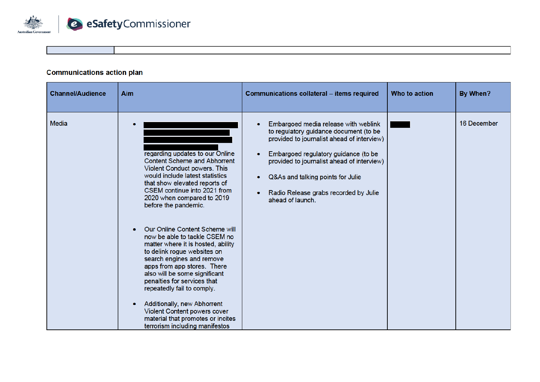

### **Communications action plan**

| <b>Channel/Audience</b> | Aim                                                                                                                                                                                                                                                                                                                                                                                                                                                                                                                                                                                                                                                                                                      | Communications collateral - items required                                                                                                                                                                                                                                                                           | Who to action | By When?    |
|-------------------------|----------------------------------------------------------------------------------------------------------------------------------------------------------------------------------------------------------------------------------------------------------------------------------------------------------------------------------------------------------------------------------------------------------------------------------------------------------------------------------------------------------------------------------------------------------------------------------------------------------------------------------------------------------------------------------------------------------|----------------------------------------------------------------------------------------------------------------------------------------------------------------------------------------------------------------------------------------------------------------------------------------------------------------------|---------------|-------------|
| Media                   | regarding updates to our Online<br><b>Content Scheme and Abhorrent</b><br>Violent Conduct powers. This<br>would include latest statistics<br>that show elevated reports of<br>CSEM continue into 2021 from<br>2020 when compared to 2019<br>before the pandemic.<br>Our Online Content Scheme will<br>now be able to tackle CSEM no<br>matter where it is hosted, ability<br>to delink rogue websites on<br>search engines and remove<br>apps from app stores. There<br>also will be some significant<br>penalties for services that<br>repeatedly fail to comply.<br>Additionally, new Abhorrent<br>Violent Content powers cover<br>material that promotes or incites<br>terrorism including manifestos | Embargoed media release with weblink<br>to regulatory guidance document (to be<br>provided to journalist ahead of interview)<br>Embargoed regulatory guidance (to be<br>provided to journalist ahead of interview)<br>Q&As and talking points for Julie<br>Radio Release grabs recorded by Julie<br>ahead of launch. |               | 16 December |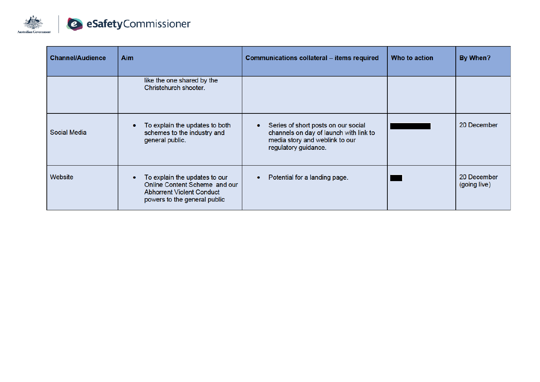

| <b>Channel/Audience</b> | <b>Aim</b>                                                                                                                         | Communications collateral – items required                                                                                              | Who to action | By When?                    |
|-------------------------|------------------------------------------------------------------------------------------------------------------------------------|-----------------------------------------------------------------------------------------------------------------------------------------|---------------|-----------------------------|
|                         | like the one shared by the<br>Christchurch shooter.                                                                                |                                                                                                                                         |               |                             |
| Social Media            | To explain the updates to both<br>schemes to the industry and<br>general public.                                                   | Series of short posts on our social<br>channels on day of launch with link to<br>media story and weblink to our<br>regulatory guidance. |               | 20 December                 |
| Website                 | To explain the updates to our<br>Online Content Scheme and our<br><b>Abhorrent Violent Conduct</b><br>powers to the general public | Potential for a landing page.                                                                                                           |               | 20 December<br>(going live) |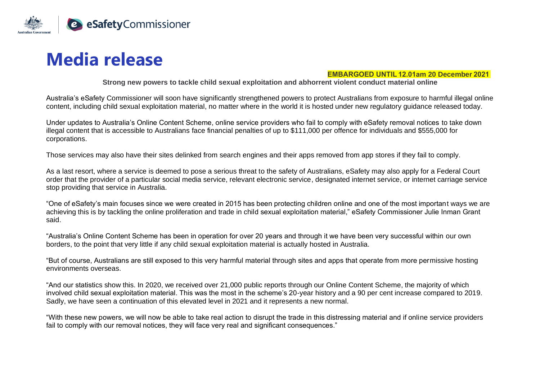

# **Media release**

#### **EMBARGOED UNTIL 12.01am 20 December 2021**

**Strong new powers to tackle child sexual exploitation and abhorrent violent conduct material online**

Australia's eSafety Commissioner will soon have significantly strengthened powers to protect Australians from exposure to harmful illegal online content, including child sexual exploitation material, no matter where in the world it is hosted under new regulatory guidance released today.

Under updates to Australia's Online Content Scheme, online service providers who fail to comply with eSafety removal notices to take down illegal content that is accessible to Australians face financial penalties of up to \$111,000 per offence for individuals and \$555,000 for corporations.

Those services may also have their sites delinked from search engines and their apps removed from app stores if they fail to comply.

As a last resort, where a service is deemed to pose a serious threat to the safety of Australians, eSafety may also apply for a Federal Court order that the provider of a particular social media service, relevant electronic service, designated internet service, or internet carriage service stop providing that service in Australia.

"One of eSafety's main focuses since we were created in 2015 has been protecting children online and one of the most important ways we are achieving this is by tackling the online proliferation and trade in child sexual exploitation material," eSafety Commissioner Julie Inman Grant said.

"Australia's Online Content Scheme has been in operation for over 20 years and through it we have been very successful within our own borders, to the point that very little if any child sexual exploitation material is actually hosted in Australia.

"But of course, Australians are still exposed to this very harmful material through sites and apps that operate from more permissive hosting environments overseas.

"And our statistics show this. In 2020, we received over 21,000 public reports through our Online Content Scheme, the majority of which involved child sexual exploitation material. This was the most in the scheme's 20-year history and a 90 per cent increase compared to 2019. Sadly, we have seen a continuation of this elevated level in 2021 and it represents a new normal.

"With these new powers, we will now be able to take real action to disrupt the trade in this distressing material and if online service providers fail to comply with our removal notices, they will face very real and significant consequences."